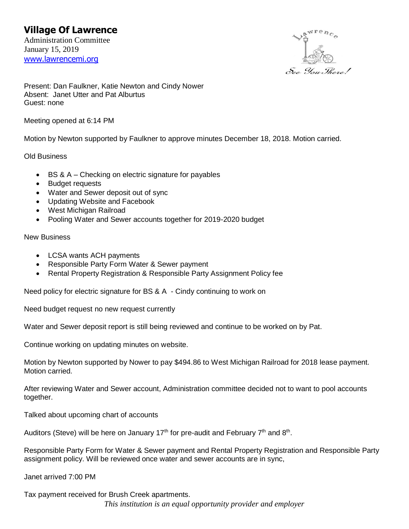## **Village Of Lawrence**

Administration Committee January 15, 2019 [www.lawrencemi.org](http://www.lawrencemi.org/)



Present: Dan Faulkner, Katie Newton and Cindy Nower Absent: Janet Utter and Pat Alburtus Guest: none

Meeting opened at 6:14 PM

Motion by Newton supported by Faulkner to approve minutes December 18, 2018. Motion carried.

Old Business

- BS & A Checking on electric signature for payables
- Budget requests
- Water and Sewer deposit out of sync
- Updating Website and Facebook
- West Michigan Railroad
- Pooling Water and Sewer accounts together for 2019-2020 budget

New Business

- LCSA wants ACH payments
- Responsible Party Form Water & Sewer payment
- Rental Property Registration & Responsible Party Assignment Policy fee

Need policy for electric signature for BS & A - Cindy continuing to work on

Need budget request no new request currently

Water and Sewer deposit report is still being reviewed and continue to be worked on by Pat.

Continue working on updating minutes on website.

Motion by Newton supported by Nower to pay \$494.86 to West Michigan Railroad for 2018 lease payment. Motion carried.

After reviewing Water and Sewer account, Administration committee decided not to want to pool accounts together.

Talked about upcoming chart of accounts

Auditors (Steve) will be here on January 17<sup>th</sup> for pre-audit and February 7<sup>th</sup> and 8<sup>th</sup>.

Responsible Party Form for Water & Sewer payment and Rental Property Registration and Responsible Party assignment policy. Will be reviewed once water and sewer accounts are in sync,

Janet arrived 7:00 PM

*This institution is an equal opportunity provider and employer* Tax payment received for Brush Creek apartments.